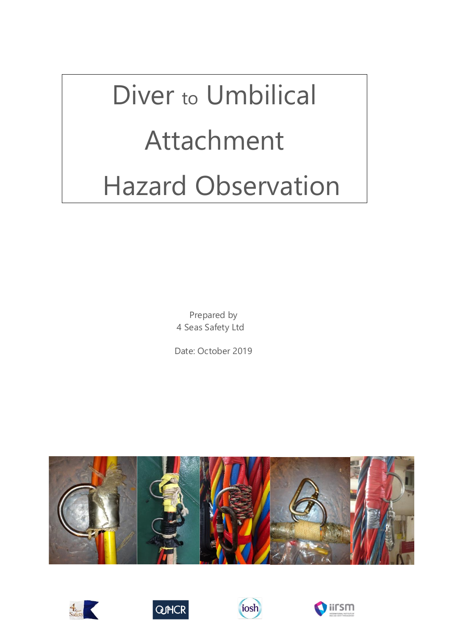# Diver to Umbilical Attachment Hazard Observation

Prepared by 4 Seas Safety Ltd

Date: October 2019









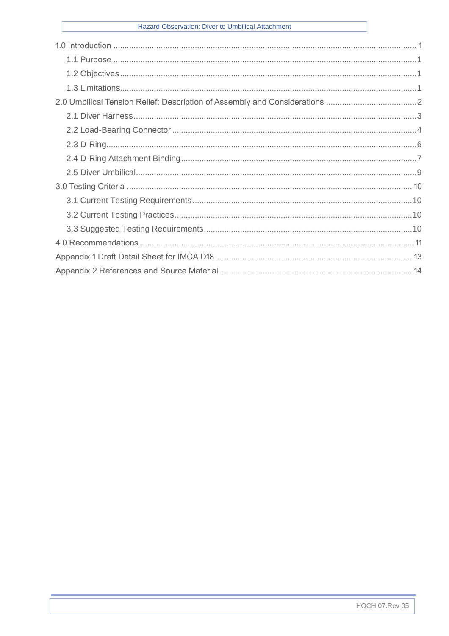#### Hazard Observation: Diver to Umbilical Attachment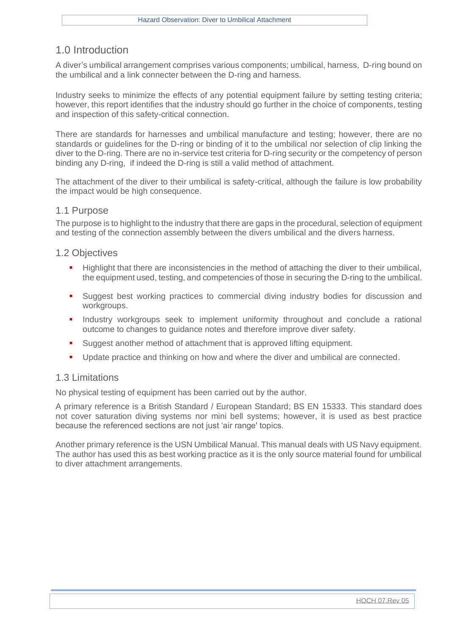# <span id="page-2-0"></span>1.0 Introduction

A diver's umbilical arrangement comprises various components; umbilical, harness, D-ring bound on the umbilical and a link connecter between the D-ring and harness.

Industry seeks to minimize the effects of any potential equipment failure by setting testing criteria; however, this report identifies that the industry should go further in the choice of components, testing and inspection of this safety-critical connection.

There are standards for harnesses and umbilical manufacture and testing; however, there are no standards or guidelines for the D-ring or binding of it to the umbilical nor selection of clip linking the diver to the D-ring. There are no in-service test criteria for D-ring security or the competency of person binding any D-ring, if indeed the D-ring is still a valid method of attachment.

The attachment of the diver to their umbilical is safety-critical, although the failure is low probability the impact would be high consequence.

#### <span id="page-2-1"></span>1.1 Purpose

The purpose is to highlight to the industry that there are gaps in the procedural, selection of equipment and testing of the connection assembly between the divers umbilical and the divers harness.

#### <span id="page-2-2"></span>1.2 Objectives

- **EXECT** Highlight that there are inconsistencies in the method of attaching the diver to their umbilical, the equipment used, testing, and competencies of those in securing the D-ring to the umbilical.
- Suggest best working practices to commercial diving industry bodies for discussion and workgroups.
- **•** Industry workgroups seek to implement uniformity throughout and conclude a rational outcome to changes to guidance notes and therefore improve diver safety.
- Suggest another method of attachment that is approved lifting equipment.
- Update practice and thinking on how and where the diver and umbilical are connected.

#### <span id="page-2-3"></span>1.3 Limitations

No physical testing of equipment has been carried out by the author.

A primary reference is a British Standard / European Standard; BS EN 15333. This standard does not cover saturation diving systems nor mini bell systems; however, it is used as best practice because the referenced sections are not just 'air range' topics.

Another primary reference is the USN Umbilical Manual. This manual deals with US Navy equipment. The author has used this as best working practice as it is the only source material found for umbilical to diver attachment arrangements.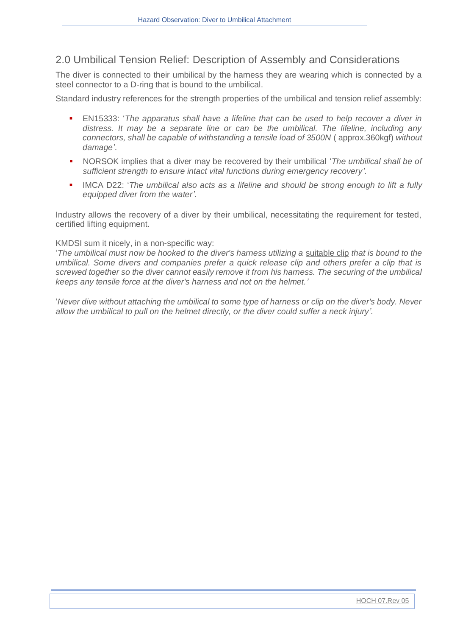# <span id="page-3-0"></span>2.0 Umbilical Tension Relief: Description of Assembly and Considerations

The diver is connected to their umbilical by the harness they are wearing which is connected by a steel connector to a D-ring that is bound to the umbilical.

Standard industry references for the strength properties of the umbilical and tension relief assembly:

- EN15333: '*The apparatus shall have a lifeline that can be used to help recover a diver in distress. It may be a separate line or can be the umbilical. The lifeline, including any connectors, shall be capable of withstanding a tensile load of 3500N* ( approx.360kgf) *without damage'*.
- NORSOK implies that a diver may be recovered by their umbilical '*The umbilical shall be of sufficient strength to ensure intact vital functions during emergency recovery'.*
- IMCA D22: '*The umbilical also acts as a lifeline and should be strong enough to lift a fully equipped diver from the water'.*

Industry allows the recovery of a diver by their umbilical, necessitating the requirement for tested, certified lifting equipment.

#### KMDSI sum it nicely, in a non-specific way:

'*The umbilical must now be hooked to the diver's harness utilizing a* suitable clip *that is bound to the umbilical. Some divers and companies prefer a quick release clip and others prefer a clip that is screwed together so the diver cannot easily remove it from his harness. The securing of the umbilical keeps any tensile force at the diver's harness and not on the helmet.'*

'*Never dive without attaching the umbilical to some type of harness or clip on the diver's body. Never allow the umbilical to pull on the helmet directly, or the diver could suffer a neck injury'.*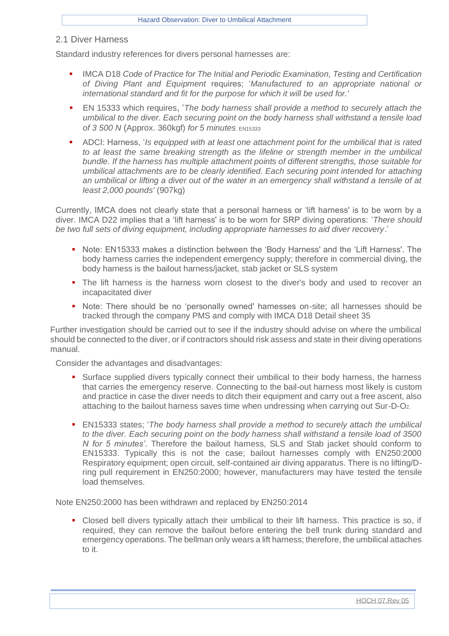#### <span id="page-4-0"></span>2.1 Diver Harness

Standard industry references for divers personal harnesses are:

- IMCA D18 *Code of Practice for The Initial and Periodic Examination, Testing and Certification of Diving Plant and Equipment* requires; '*Manufactured to an appropriate national or international standard and fit for the purpose for which it will be used for.'*
- **EN 15333 which requires, '***The body harness shall provide a method to securely attach the umbilical to the diver. Each securing point on the body harness shall withstand a tensile load of 3 500 N* (Approx. 360kgf) *for 5 minutes*. EN15333
- ADCI: Harness, '*Is equipped with at least one attachment point for the umbilical that is rated to at least the same breaking strength as the lifeline or strength member in the umbilical bundle. If the harness has multiple attachment points of different strengths, those suitable for umbilical attachments are to be clearly identified. Each securing point intended for attaching an umbilical or lifting a diver out of the water in an emergency shall withstand a tensile of at least 2,000 pounds'* (907kg)

Currently, IMCA does not clearly state that a personal harness or 'lift harness' is to be worn by a diver. IMCA D22 implies that a 'lift harness' is to be worn for SRP diving operations: '*There should be two full sets of diving equipment, including appropriate harnesses to aid diver recovery*.'

- Note: EN15333 makes a distinction between the 'Body Harness' and the 'Lift Harness'. The body harness carries the independent emergency supply; therefore in commercial diving, the body harness is the bailout harness/jacket, stab jacket or SLS system
- The lift harness is the harness worn closest to the diver's body and used to recover an incapacitated diver
- Note: There should be no 'personally owned' harnesses on-site; all harnesses should be tracked through the company PMS and comply with IMCA D18 Detail sheet 35

Further investigation should be carried out to see if the industry should advise on where the umbilical should be connected to the diver, or if contractors should risk assess and state in their diving operations manual.

Consider the advantages and disadvantages:

- **EXTENDING IN SURFACE SUPPLIED A SUPPLIED STATE:** Surface supplied divers typically connects of the interpress of Surfaces **Surface Supplied** divers typically connect their umbilical to their body harness, the harness that carries the emergency reserve. Connecting to the bail-out harness most likely is custom and practice in case the diver needs to ditch their equipment and carry out a free ascent, also attaching to the bailout harness saves time when undressing when carrying out Sur-D-O2.
- EN15333 states; '*The body harness shall provide a method to securely attach the umbilical to the diver. Each securing point on the body harness shall withstand a tensile load of 3500 N for 5 minutes'*. Therefore the bailout harness, SLS and Stab jacket should conform to EN15333. Typically this is not the case; bailout harnesses comply with EN250:2000 Respiratory equipment; open circuit, self-contained air diving apparatus. There is no lifting/Dring pull requirement in EN250:2000; however, manufacturers may have tested the tensile load themselves.

Note EN250:2000 has been withdrawn and replaced by EN250:2014

■ Closed bell divers typically attach their umbilical to their lift harness. This practice is so, if required, they can remove the bailout before entering the bell trunk during standard and emergency operations. The bellman only wears a lift harness; therefore, the umbilical attaches to it.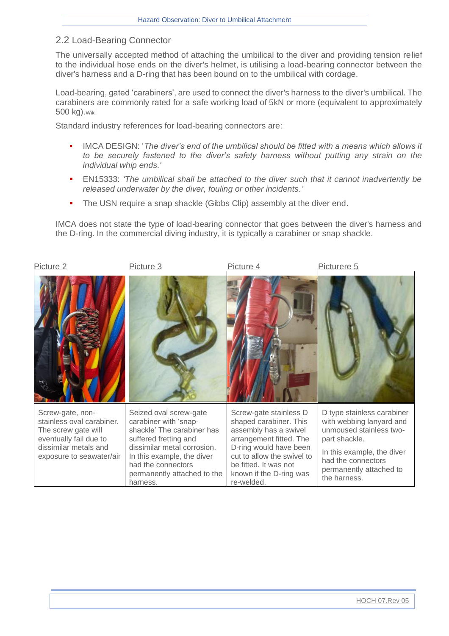#### <span id="page-5-0"></span>2.2 Load-Bearing Connector

The universally accepted method of attaching the umbilical to the diver and providing tension relief to the individual hose ends on the diver's helmet, is utilising a load-bearing connector between the diver's harness and a D-ring that has been bound on to the umbilical with cordage.

Load-bearing, gated 'carabiners', are used to connect the diver's harness to the [diver's](https://en.wikipedia.org/wiki/Surface_supplied_diving) umbilical. The carabiners are commonly rated for a safe working load of 5kN or more (equivalent to approximately 500 kg).Wiki

Standard industry references for load-bearing connectors are:

- IMCA DESIGN: '*The diver's end of the umbilical should be fitted with a means which allows it to be securely fastened to the diver's safety harness without putting any strain on the individual whip ends.'*
- EN15333: *'The umbilical shall be attached to the diver such that it cannot inadvertently be released underwater by the diver, fouling or other incidents.'*
- The USN require a snap shackle (Gibbs Clip) assembly at the diver end.

IMCA does not state the type of load-bearing connector that goes between the diver's harness and the D-ring. In the commercial diving industry, it is typically a carabiner or snap shackle.

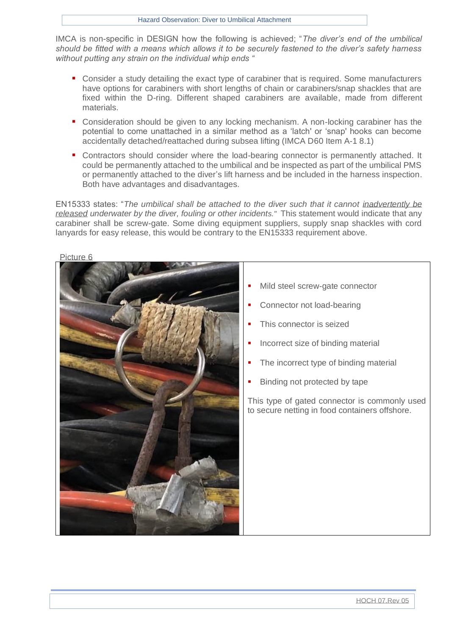IMCA is non-specific in DESIGN how the following is achieved; "*The diver's end of the umbilical should be fitted with a means which allows it to be securely fastened to the diver's safety harness without putting any strain on the individual whip ends "*

- Consider a study detailing the exact type of carabiner that is required. Some manufacturers have options for carabiners with short lengths of chain or carabiners/snap shackles that are fixed within the D-ring. Different shaped carabiners are available, made from different materials.
- Consideration should be given to any locking mechanism. A non-locking carabiner has the potential to come unattached in a similar method as a 'latch' or 'snap' hooks can become accidentally detached/reattached during subsea lifting (IMCA D60 Item A-1 8.1)
- Contractors should consider where the load-bearing connector is permanently attached. It could be permanently attached to the umbilical and be inspected as part of the umbilical PMS or permanently attached to the diver's lift harness and be included in the harness inspection. Both have advantages and disadvantages.

EN15333 states: "*The umbilical shall be attached to the diver such that it cannot inadvertently be released underwater by the diver, fouling or other incidents."* This statement would indicate that any carabiner shall be screw-gate. Some diving equipment suppliers, supply snap shackles with cord lanyards for easy release, this would be contrary to the EN15333 requirement above.



#### Picture 6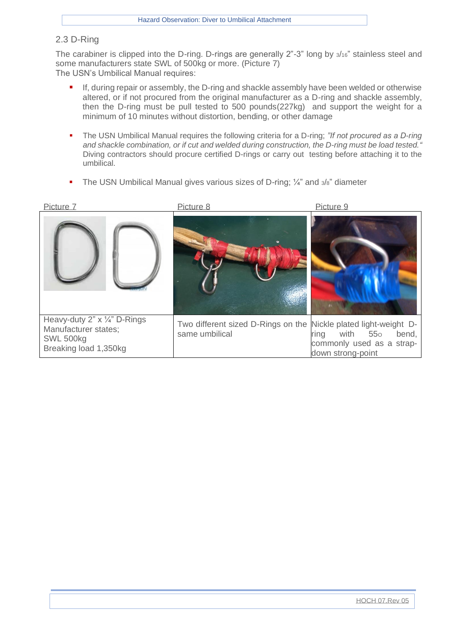#### <span id="page-7-0"></span>2.3 D-Ring

The carabiner is clipped into the D-ring. D-rings are generally 2"-3" long by 3/16" stainless steel and some manufacturers state SWL of 500kg or more. (Picture 7) The USN's Umbilical Manual requires:

- If, during repair or assembly, the D-ring and shackle assembly have been welded or otherwise altered, or if not procured from the original manufacturer as a D-ring and shackle assembly, then the D-ring must be pull tested to 500 pounds(227kg) and support the weight for a minimum of 10 minutes without distortion, bending, or other damage
- The USN Umbilical Manual requires the following criteria for a D-ring; *"If not procured as a D-ring and shackle combination, or if cut and welded during construction, the D-ring must be load tested."*  Diving contractors should procure certified D-rings or carry out testing before attaching it to the umbilical.
- The USN Umbilical Manual gives various sizes of D-ring;  $\frac{\pi}{4}$  and  $\frac{3}{8}$ " diameter

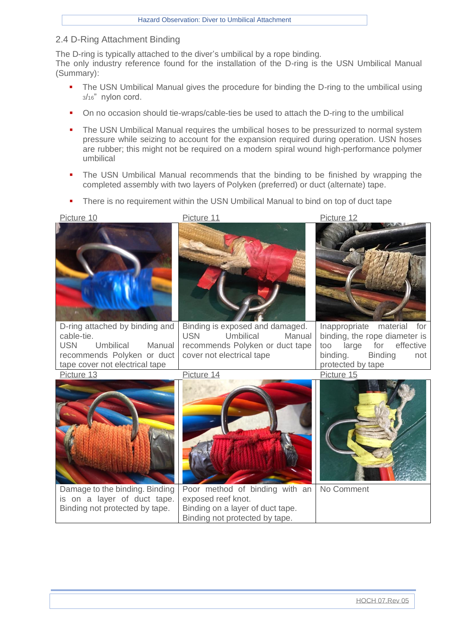#### <span id="page-8-0"></span>2.4 D-Ring Attachment Binding

The D-ring is typically attached to the diver's umbilical by a rope binding. The only industry reference found for the installation of the D-ring is the USN Umbilical Manual (Summary):

- The USN Umbilical Manual gives the procedure for binding the D-ring to the umbilical using <sup>3</sup>/16" nylon cord.
- On no occasion should tie-wraps/cable-ties be used to attach the D-ring to the umbilical
- The USN Umbilical Manual requires the umbilical hoses to be pressurized to normal system pressure while seizing to account for the expansion required during operation. USN hoses are rubber; this might not be required on a modern spiral wound high-performance polymer umbilical
- The USN Umbilical Manual recommends that the binding to be finished by wrapping the completed assembly with two layers of Polyken (preferred) or duct (alternate) tape.
- There is no requirement within the USN Umbilical Manual to bind on top of duct tape



cable-tie.<br>USN Umbilical Manual recommends Polyken or duct tape cover not electrical tape

Damage to the binding. Binding is on a layer of duct tape. Binding not protected by tape.



Binding is exposed and damaged. USN Umbilical Manual recommends Polyken or duct tape cover not electrical tape

Inappropriate material for binding, the rope diameter is too large for effective binding. Binding not protected by tape

Picture 13 Picture 14 Picture 15



Poor method of binding with an exposed reef knot. Binding on a layer of duct tape. Binding not protected by tape.



No Comment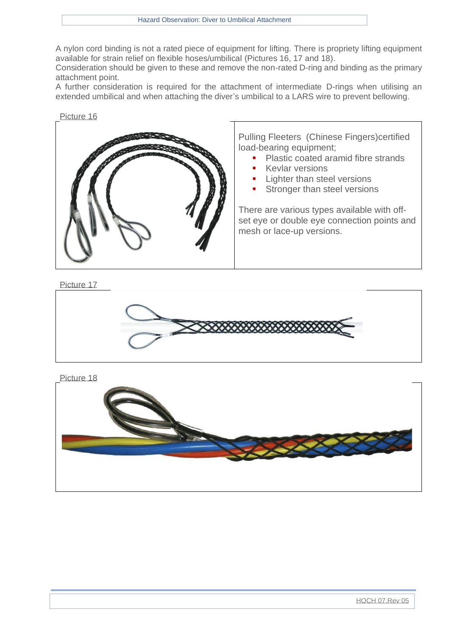A nylon cord binding is not a rated piece of equipment for lifting. There is propriety lifting equipment available for strain relief on flexible hoses/umbilical (Pictures 16, 17 and 18).

Consideration should be given to these and remove the non-rated D-ring and binding as the primary attachment point.

A further consideration is required for the attachment of intermediate D-rings when utilising an extended umbilical and when attaching the diver's umbilical to a LARS wire to prevent bellowing.



Pulling Fleeters (Chinese Fingers)certified load-bearing equipment;

- Plastic coated aramid fibre strands
- **Kevlar versions**
- **Lighter than steel versions**
- Stronger than steel versions

There are various types available with offset eye or double eye connection points and mesh or lace-up versions.

Picture 17



Picture 18

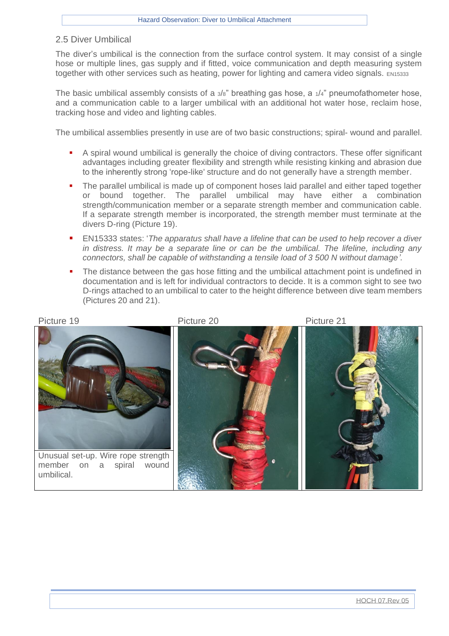#### <span id="page-10-0"></span>2.5 Diver Umbilical

The diver's umbilical is the connection from the surface control system. It may consist of a single hose or multiple lines, gas supply and if fitted, voice communication and depth measuring system together with other services such as heating, power for lighting and camera video signals. EN15333

The basic umbilical assembly consists of a  $3/8$ " breathing gas hose, a  $1/4$ " pneumofathometer hose, and a communication cable to a larger umbilical with an additional hot water hose, reclaim hose, tracking hose and video and lighting cables.

The umbilical assemblies presently in use are of two basic constructions; spiral- wound and parallel.

- A spiral wound umbilical is generally the choice of diving contractors. These offer significant advantages including greater flexibility and strength while resisting kinking and abrasion due to the inherently strong 'rope-like' structure and do not generally have a strength member.
- **•** The parallel umbilical is made up of component hoses laid parallel and either taped together or bound together. The parallel umbilical may have either a combination strength/communication member or a separate strength member and communication cable. If a separate strength member is incorporated, the strength member must terminate at the divers D-ring (Picture 19).
- EN15333 states: '*The apparatus shall have a lifeline that can be used to help recover a diver in distress. It may be a separate line or can be the umbilical. The lifeline, including any connectors, shall be capable of withstanding a tensile load of 3 500 N without damage'.*
- The distance between the gas hose fitting and the umbilical attachment point is undefined in documentation and is left for individual contractors to decide. It is a common sight to see two D-rings attached to an umbilical to cater to the height difference between dive team members (Pictures 20 and 21).

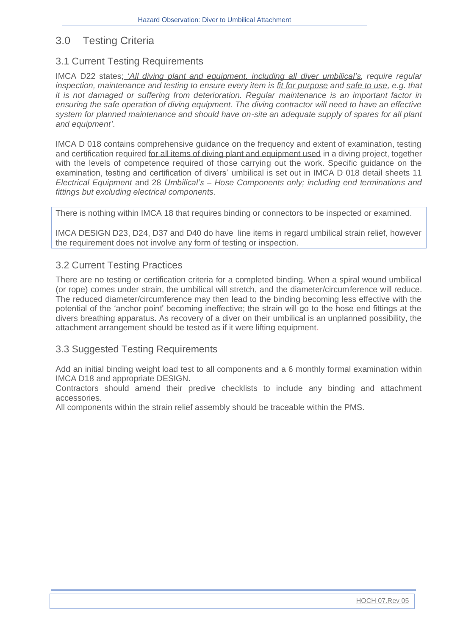# <span id="page-11-0"></span>3.0 Testing Criteria

## <span id="page-11-1"></span>3.1 Current Testing Requirements

IMCA D22 states; *'All diving plant and equipment, including all diver umbilical's, require regular inspection, maintenance and testing to ensure every item is fit for purpose and safe to use, e.g. that it is not damaged or suffering from deterioration. Regular maintenance is an important factor in ensuring the safe operation of diving equipment. The diving contractor will need to have an effective system for planned maintenance and should have on-site an adequate supply of spares for all plant and equipment'*.

IMCA D 018 contains comprehensive guidance on the frequency and extent of examination, testing and certification required for all items of diving plant and equipment used in a diving project, together with the levels of competence required of those carrying out the work. Specific guidance on the examination, testing and certification of divers' umbilical is set out in IMCA D 018 detail sheets 11 *Electrical Equipment* and 28 *Umbilical's – Hose Components only; including end terminations and fittings but excluding electrical components*.

There is nothing within IMCA 18 that requires binding or connectors to be inspected or examined.

IMCA DESIGN D23, D24, D37 and D40 do have line items in regard umbilical strain relief, however the requirement does not involve any form of testing or inspection.

#### <span id="page-11-2"></span>3.2 Current Testing Practices

There are no testing or certification criteria for a completed binding. When a spiral wound umbilical (or rope) comes under strain, the umbilical will stretch, and the diameter/circumference will reduce. The reduced diameter/circumference may then lead to the binding becoming less effective with the potential of the 'anchor point' becoming ineffective; the strain will go to the hose end fittings at the divers breathing apparatus. As recovery of a diver on their umbilical is an unplanned possibility, the attachment arrangement should be tested as if it were lifting equipment.

#### <span id="page-11-3"></span>3.3 Suggested Testing Requirements

Add an initial binding weight load test to all components and a 6 monthly formal examination within IMCA D18 and appropriate DESIGN.

Contractors should amend their predive checklists to include any binding and attachment accessories.

All components within the strain relief assembly should be traceable within the PMS.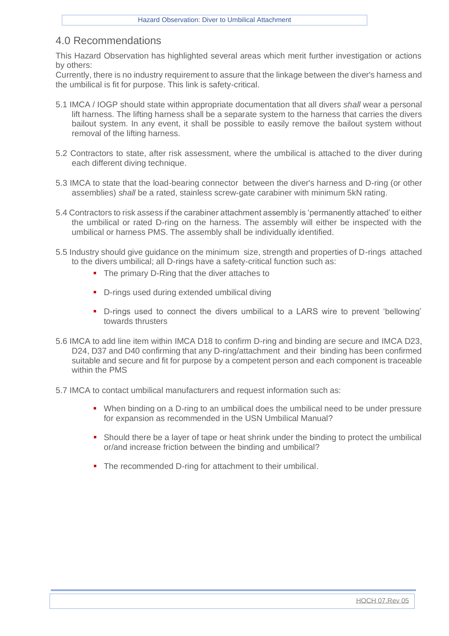# <span id="page-12-0"></span>4.0 Recommendations

This Hazard Observation has highlighted several areas which merit further investigation or actions by others:

Currently, there is no industry requirement to assure that the linkage between the diver's harness and the umbilical is fit for purpose. This link is safety-critical.

- 5.1 IMCA / IOGP should state within appropriate documentation that all divers *shall* wear a personal lift harness. The lifting harness shall be a separate system to the harness that carries the divers bailout system. In any event, it shall be possible to easily remove the bailout system without removal of the lifting harness.
- 5.2 Contractors to state, after risk assessment, where the umbilical is attached to the diver during each different diving technique.
- 5.3 IMCA to state that the load-bearing connector between the diver's harness and D-ring (or other assemblies) *shall* be a rated, stainless screw-gate carabiner with minimum 5kN rating.
- 5.4 Contractors to risk assess if the carabiner attachment assembly is 'permanently attached' to either the umbilical or rated D-ring on the harness. The assembly will either be inspected with the umbilical or harness PMS. The assembly shall be individually identified.
- 5.5 Industry should give guidance on the minimum size, strength and properties of D-rings attached to the divers umbilical; all D-rings have a safety-critical function such as:
	- The primary D-Ring that the diver attaches to
	- D-rings used during extended umbilical diving
	- D-rings used to connect the divers umbilical to a LARS wire to prevent 'bellowing' towards thrusters
- 5.6 IMCA to add line item within IMCA D18 to confirm D-ring and binding are secure and IMCA D23, D24, D37 and D40 confirming that any D-ring/attachment and their binding has been confirmed suitable and secure and fit for purpose by a competent person and each component is traceable within the PMS
- 5.7 IMCA to contact umbilical manufacturers and request information such as:
	- When binding on a D-ring to an umbilical does the umbilical need to be under pressure for expansion as recommended in the USN Umbilical Manual?
	- Should there be a layer of tape or heat shrink under the binding to protect the umbilical or/and increase friction between the binding and umbilical?
	- The recommended D-ring for attachment to their umbilical.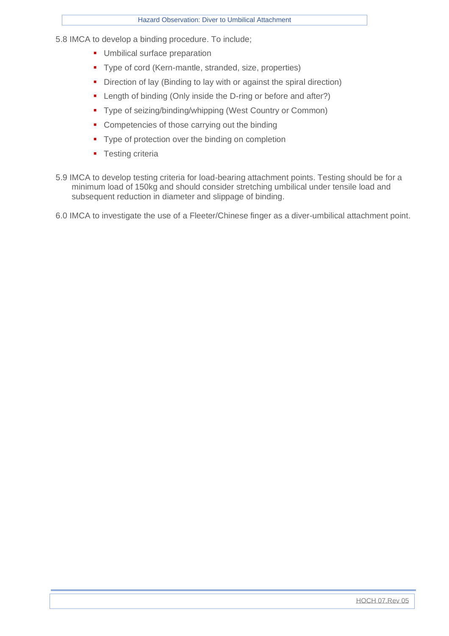5.8 IMCA to develop a binding procedure. To include;

- **■** Umbilical surface preparation
- Type of cord (Kern-mantle, stranded, size, properties)
- **•** Direction of lay (Binding to lay with or against the spiral direction)
- Length of binding (Only inside the D-ring or before and after?)
- Type of seizing/binding/whipping (West Country or Common)
- Competencies of those carrying out the binding
- Type of protection over the binding on completion
- **•** Testing criteria
- 5.9 IMCA to develop testing criteria for load-bearing attachment points. Testing should be for a minimum load of 150kg and should consider stretching umbilical under tensile load and subsequent reduction in diameter and slippage of binding.
- 6.0 IMCA to investigate the use of a Fleeter/Chinese finger as a diver-umbilical attachment point.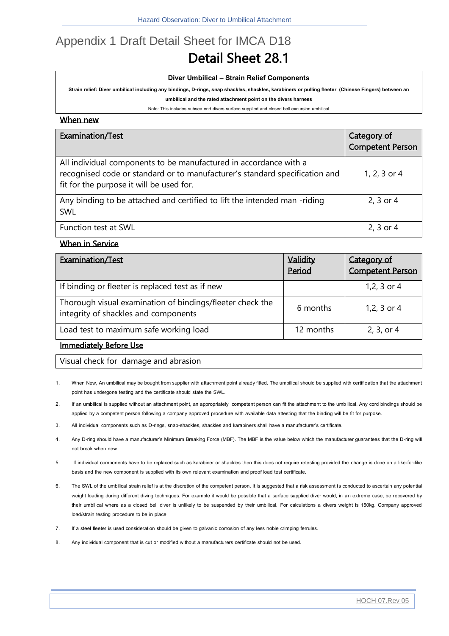# <span id="page-14-0"></span>Appendix 1 Draft Detail Sheet for IMCA D18 Detail Sheet 28.1

#### **Diver Umbilical – Strain Relief Components**

**Strain relief: Diverumbilical including any bindings, D-rings, snap shackles, shackles, karabiners orpulling fleeter (Chinese Fingers)between an** 

**umbilical and the rated attachment point on the divers harness**

Note: This includes subsea end divers surface supplied and closed bell excursion umbilical

#### When new

| Examination/Test                                                                                                                                                                             | Category of<br><b>Competent Person</b> |
|----------------------------------------------------------------------------------------------------------------------------------------------------------------------------------------------|----------------------------------------|
| All individual components to be manufactured in accordance with a<br>recognised code or standard or to manufacturer's standard specification and<br>fit for the purpose it will be used for. | 1, 2, 3 or 4                           |
| Any binding to be attached and certified to lift the intended man -riding<br>SWL                                                                                                             | 2, 3 or 4                              |
| <b>Function test at SWL</b>                                                                                                                                                                  | 2, 3 or 4                              |

#### When in Service

| Examination/Test                                                                                  | Validity<br>Period | Category of<br><b>Competent Person</b> |
|---------------------------------------------------------------------------------------------------|--------------------|----------------------------------------|
| If binding or fleeter is replaced test as if new                                                  |                    | 1,2, 3 or 4                            |
| Thorough visual examination of bindings/fleeter check the<br>integrity of shackles and components | 6 months           | 1,2, 3 or 4                            |
| Load test to maximum safe working load                                                            | 12 months          | $2, 3,$ or 4                           |

#### Immediately Before Use

Visual check for damage and abrasion

- 1. When New, An umbilical may be bought from supplier with attachment point already fitted. The umbilical should be supplied with certification that the attachment point has undergone testing and the certificate should state the SWL.
- 2. If an umbilical is supplied without an attachment point, an appropriately competent person can fit the attachment to the umbilical. Any cord bindings should be applied by a competent person following a company approved procedure with available data attesting that the binding will be fit for purpose.
- 3. All individual components such as D-rings, snap-shackles, shackles and karabiners shall have a manufacturer's certificate.
- 4. Any D-ring should have a manufacturer's Minimum Breaking Force (MBF). The MBF is the value below which the manufacturer guarantees that the D-ring will not break when new
- 5. If individual components have to be replaced such as karabiner or shackles then this does not require retesting provided the change is done on a like-for-like basis and the new component is supplied with its own relevant examination and proof load test certificate.
- 6. The SWL of the umbilical strain relief is at the discretion of the competent person. It is suggested that a risk assessment is conducted to ascertain any potential weight loading during different diving techniques. For example it would be possible that a surface supplied diver would, in an extreme case, be recovered by their umbilical where as a closed bell diver is unlikely to be suspended by their umbilical. For calculations a divers weight is 150kg. Company approved load/strain testing procedure to be in place
- 7. If a steel fleeter is used consideration should be given to galvanic corrosion of any less noble crimping ferrules.
- 8. Any individual component that is cut or modified without a manufacturers certificate should not be used.